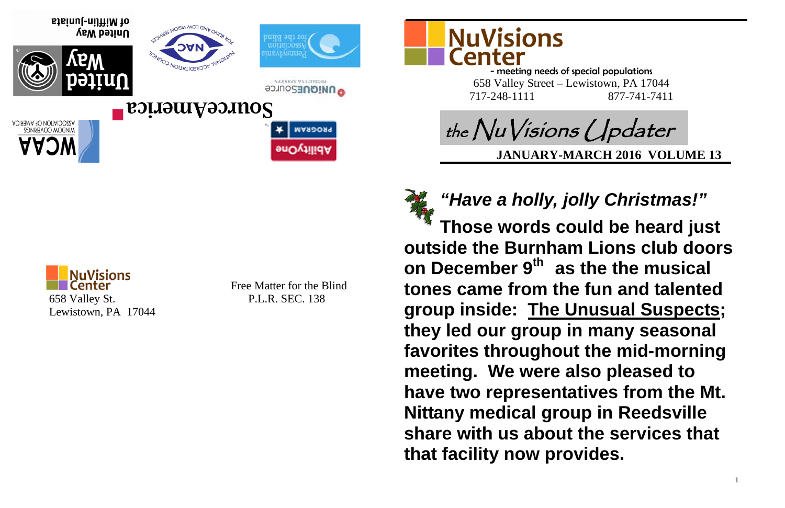

Free Matter for the Blind





- meeting needs of special populations 658 Valley Street – Lewistown, PA 17044 717-248-1111 877-741-7411

**JANUARY-MARCH 2016 VOLUME 13**



# *"Have a holly, jolly Christmas!"*  **Those words could be heard just**

**outside the Burnham Lions club doors on December 9th as the the musical tones came from the fun and talented group inside: The Unusual Suspects; they led our group in many seasonal favorites throughout the mid-morning meeting. We were also pleased to have two representatives from the Mt. Nittany medical group in Reedsville share with us about the services that that facility now provides.** 



NAROGRA

dellityOne

**SENANS Y SEXIOURS O UNIQUESOUTCE** 



of Mifflin-Juniata United Way



**POUTCEAMENTCA** 

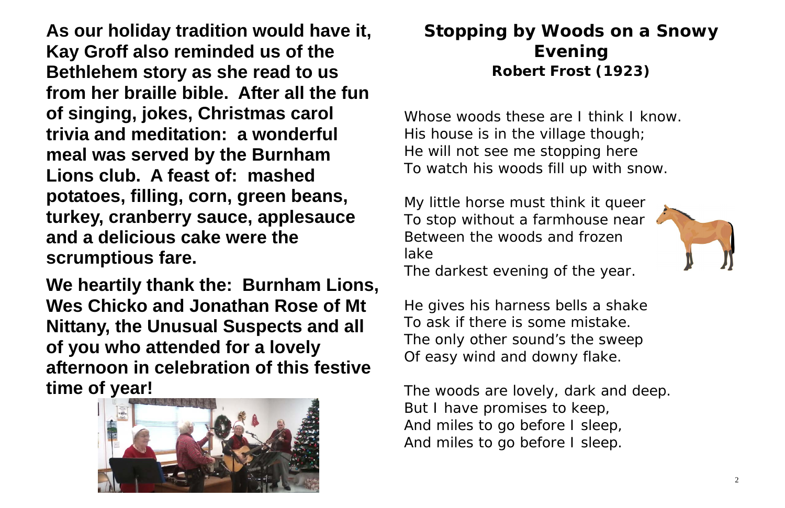**As our holiday tradition would have it, Kay Groff also reminded us of the Bethlehem story as she read to us from her braille bible. After all the fun of singing, jokes, Christmas carol trivia and meditation: a wonderful meal was served by the Burnham Lions club. A feast of: mashed potatoes, filling, corn, green beans, turkey, cranberry sauce, applesauce and a delicious cake were the scrumptious fare.** 

Whose woods these are I think I know. His house is in the village though; He will not see me stopping here To watch his woods fill up with snow.

**We heartily thank the: Burnham Lions, Wes Chicko and Jonathan Rose of Mt Nittany, the Unusual Suspects and all of you who attended for a lovely afternoon in celebration of this festive time of year!**



# **Stopping by Woods on a Snowy Evening Robert Frost (1923)**

My little horse must think it queer To stop without a farmhouse near Between the woods and frozen lake

The darkest evening of the year.

He gives his harness bells a shake To ask if there is some mistake. The only other sound's the sweep Of easy wind and downy flake.

The woods are lovely, dark and deep. But I have promises to keep, And miles to go before I sleep, And miles to go before I sleep.

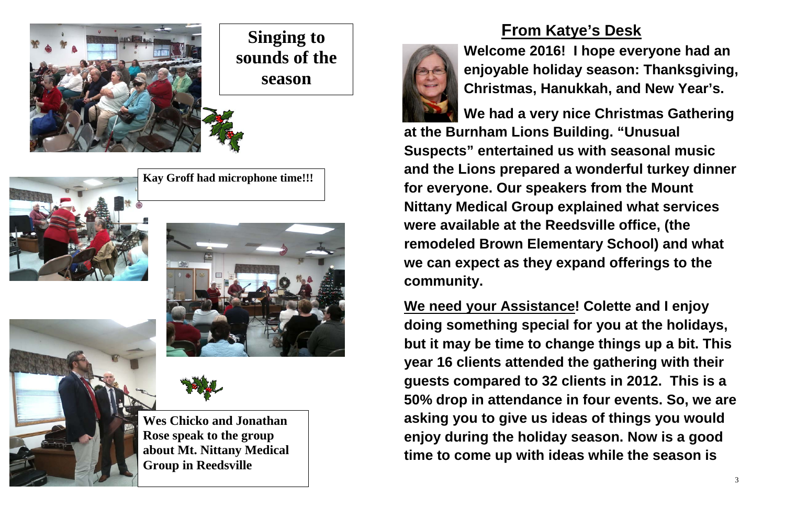**From Katye's Desk**

**Welcome 2016! I hope everyone had an enjoyable holiday season: Thanksgiving, Christmas, Hanukkah, and New Year's.** 

**We had a very nice Christmas Gathering at the Burnham Lions Building. "Unusual Suspects" entertained us with seasonal music and the Lions prepared a wonderful turkey dinner for everyone. Our speakers from the Mount Nittany Medical Group explained what services were available at the Reedsville office, (the remodeled Brown Elementary School) and what we can expect as they expand offerings to the community.**

**We need your Assistance! Colette and I enjoy doing something special for you at the holidays, but it may be time to change things up a bit. This year 16 clients attended the gathering with their guests compared to 32 clients in 2012. This is a 50% drop in attendance in four events. So, we are asking you to give us ideas of things you would enjoy during the holiday season. Now is a good time to come up with ideas while the season is** 



**Singing to sounds of the season**

**Kay Groff had microphone time!!!** 









**Wes Chicko and Jonathan Rose speak to the group about Mt. Nittany Medical Group in Reedsville**

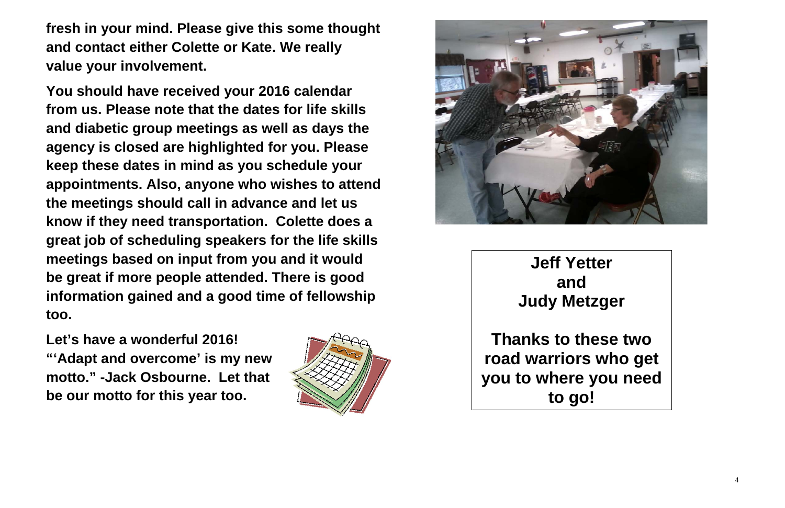**fresh in your mind. Please give this some thought and contact either Colette or Kate. We really value your involvement.** 

**You should have received your 2016 calendar from us. Please note that the dates for life skills and diabetic group meetings as well as days the agency is closed are highlighted for you. Please keep these dates in mind as you schedule your appointments. Also, anyone who wishes to attend the meetings should call in advance and let us know if they need transportation. Colette does a great job of scheduling speakers for the life skills meetings based on input from you and it would be great if more people attended. There is good information gained and a good time of fellowship too.** 

**Let's have a wonderful 2016! "'Adapt and overcome' is my new motto." -Jack Osbourne. Let that be our motto for this year too.**





**Jeff Yetter and Judy Metzger**

**Thanks to these two road warriors who get you to where you need to go!**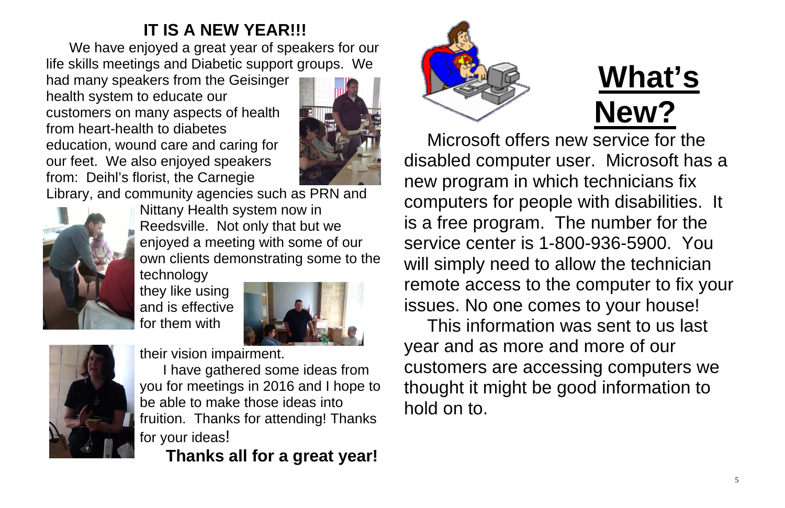# **IT IS A NEW YEAR!!!**

We have enjoyed a great year of speakers for our life skills meetings and Diabetic support groups. We

had many speakers from the Geisinger health system to educate our customers on many aspects of health from heart-health to diabetes education, wound care and caring for our feet. We also enjoyed speakers from: Deihl's florist, the Carnegie



Library, and community agencies such as PRN and



Nittany Health system now in Reedsville. Not only that but we enjoyed a meeting with some of our own clients demonstrating some to the

technology they like using and is effective for them with





their vision impairment.

I have gathered some ideas from you for meetings in 2016 and I hope to be able to make those ideas into fruition. Thanks for attending! Thanks for your ideas!

**Thanks all for a great year!**



**What's New?** Microsoft offers new service for the disabled computer user. Microsoft has a new program in which technicians fix computers for people with disabilities. It is a free program. The number for the service center is 1-800-936-5900. You will simply need to allow the technician remote access to the computer to fix your issues. No one comes to your house! This information was sent to us last year and as more and more of our customers are accessing computers we thought it might be good information to

hold on to.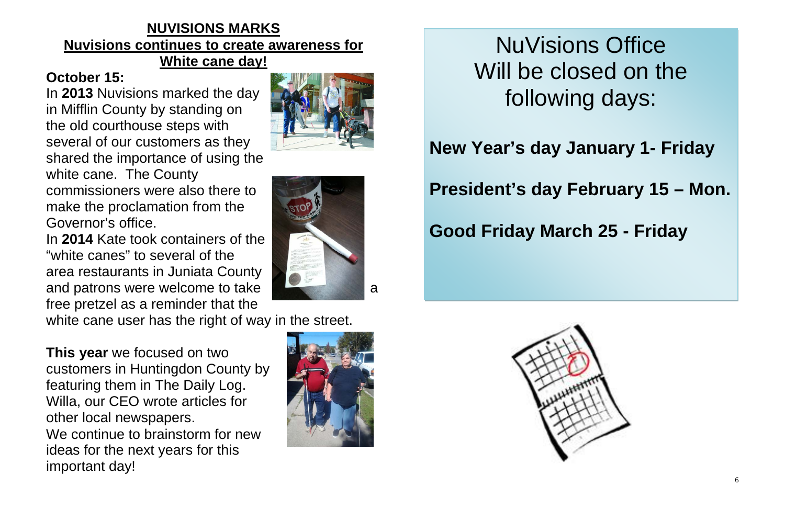## **NUVISIONS MARKS Nuvisions continues to create awareness for White cane day!**

## **October 15:**

In **2013** Nuvisions marked the day in Mifflin County by standing on the old courthouse steps with several of our customers as they shared the importance of using the white cane. The County commissioners were also there to make the proclamation from the Governor's office.

In **2014** Kate took containers of the "white canes" to several of the area restaurants in Juniata County and patrons were welcome to take **and the set of the set of the set of the set of the set of the set of the set of the set of the set of the set of the set of the set of the set of the set of the set of the set of the set** free pretzel as a reminder that the

white cane user has the right of way in the street.

**This year** we focused on two customers in Huntingdon County by featuring them in The Daily Log. Willa, our CEO wrote articles for other local newspapers. We continue to brainstorm for new ideas for the next years for this important day!





NuVisions Office Will be closed on the following days:

**New Year's day January 1- Friday**

# **President's day February 15 – Mon.**

**Good Friday March 25 - Friday**



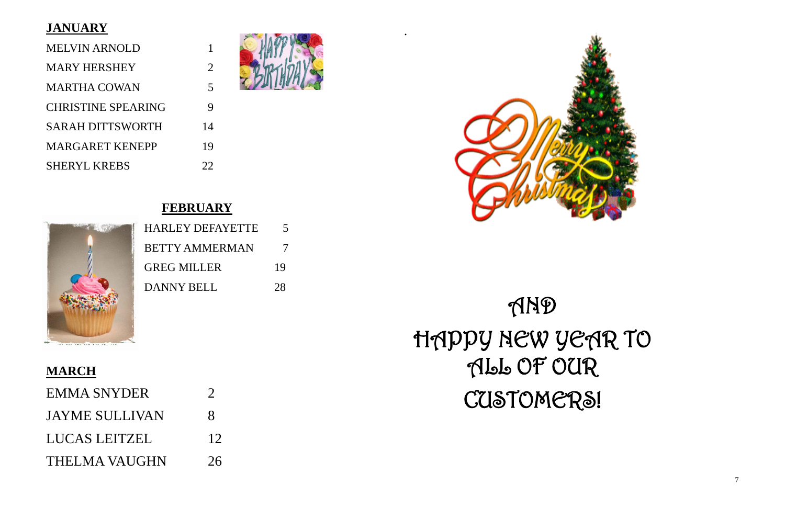## **JANUARY**

| <b>MELVIN ARNOLD</b>      |                          |
|---------------------------|--------------------------|
| <b>MARY HERSHEY</b>       | $\mathcal{D}_{\cdot}$    |
| <b>MARTHA COWAN</b>       | $\overline{\mathcal{L}}$ |
| <b>CHRISTINE SPEARING</b> |                          |
| <b>SARAH DITTSWORTH</b>   | 14                       |
| <b>MARGARET KENEPP</b>    | 19                       |
| <b>SHERYL KREBS</b>       |                          |



# **FEBRUARY**

| <b>HARLEY DEFAYETTE</b> |    |
|-------------------------|----|
| <b>BETTY AMMERMAN</b>   | 7  |
| <b>GREG MILLER</b>      | 19 |
| <b>DANNY BELL</b>       | 28 |

# **MARCH**

| <b>EMMA SNYDER</b>    | $\mathcal{D}_{\mathcal{A}}$ |
|-----------------------|-----------------------------|
| <b>JAYME SULLIVAN</b> | $\mathsf{R}$                |
| LUCAS LEITZEL         | 12                          |
| THELMA VAUGHN         | 26                          |

.





# AND HAPPY NEW YEAR TO ALL OF OUR CUSTOMERS!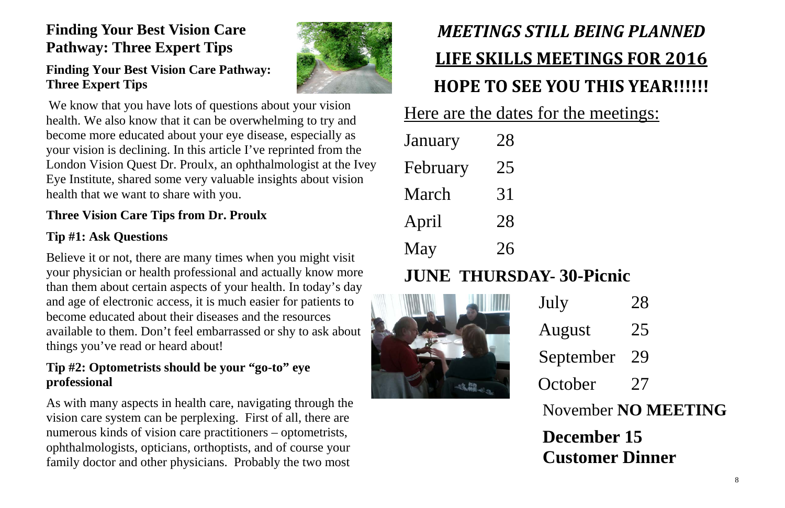# **Finding Your Best Vision Care Pathway: Three Expert Tips**

## **Finding Your Best Vision Care Pathway: Three Expert Tips**

We know that you have lots of questions about your vision health. We also know that it can be overwhelming to try and become more educated about your eye disease, especially as your vision is declining. In this article I've reprinted from the London Vision Quest Dr. Proulx, an ophthalmologist at the Ivey Eye Institute, shared some very valuable insights about vision health that we want to share with you.

## **Three Vision Care Tips from Dr. Proulx**

## **Tip #1: Ask Questions**

- September 29
- October 27

Believe it or not, there are many times when you might visit your physician or health professional and actually know more than them about certain aspects of your health. In today's day and age of electronic access, it is much easier for patients to become educated about their diseases and the resources available to them. Don't feel embarrassed or shy to ask about things you've read or heard about!

## **Tip #2: Optometrists should be your "go-to" eye professional**

As with many aspects in health care, navigating through the vision care system can be perplexing. First of all, there are numerous kinds of vision care practitioners – optometrists, ophthalmologists, opticians, orthoptists, and of course your family doctor and other physicians. Probably the two most



# *MEETINGS STILL BEING PLANNED* **LIFE SKILLS MEETINGS FOR 2016 HOPE TO SEE YOU THIS YEAR!!!!!!**

Here are the dates for the meetings:

| January  | 28 |
|----------|----|
| February | 25 |
| March    | 31 |
| April    | 28 |
| May      | 26 |

# **JUNE THURSDAY- 30-Picnic**



July 28

# August 25

# November **NO MEETING**

# **December 15 Customer Dinner**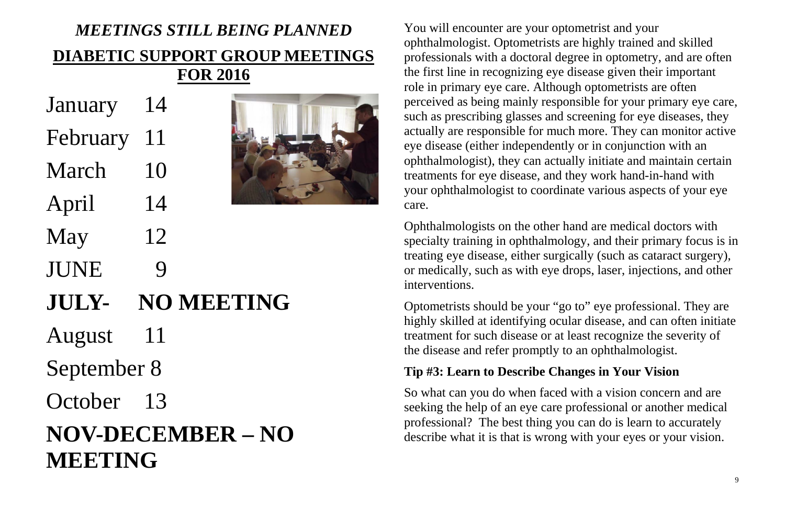# *MEETINGS STILL BEING PLANNED* **DIABETIC SUPPORT GROUP MEETINGS FOR 2016**

- January 14
- February 11
- March 10
- April 14
- May 12
- JUNE 9
- **JULY- NO MEETING**
- August 11
- September 8
- October 13

# **NOV-DECEMBER – NO MEETING**



You will encounter are your optometrist and your ophthalmologist. Optometrists are highly trained and skilled professionals with a doctoral degree in optometry, and are often the first line in recognizing eye disease given their important role in primary eye care. Although optometrists are often perceived as being mainly responsible for your primary eye care, such as prescribing glasses and screening for eye diseases, they actually are responsible for much more. They can monitor active eye disease (either independently or in conjunction with an ophthalmologist), they can actually initiate and maintain certain treatments for eye disease, and they work hand-in-hand with your ophthalmologist to coordinate various aspects of your eye care.

Ophthalmologists on the other hand are medical doctors with specialty training in ophthalmology, and their primary focus is in treating eye disease, either surgically (such as cataract surgery), or medically, such as with eye drops, laser, injections, and other interventions.

Optometrists should be your "go to" eye professional. They are highly skilled at identifying ocular disease, and can often initiate treatment for such disease or at least recognize the severity of the disease and refer promptly to an ophthalmologist.

## **Tip #3: Learn to Describe Changes in Your Vision**

So what can you do when faced with a vision concern and are seeking the help of an eye care professional or another medical professional? The best thing you can do is learn to accurately describe what it is that is wrong with your eyes or your vision.